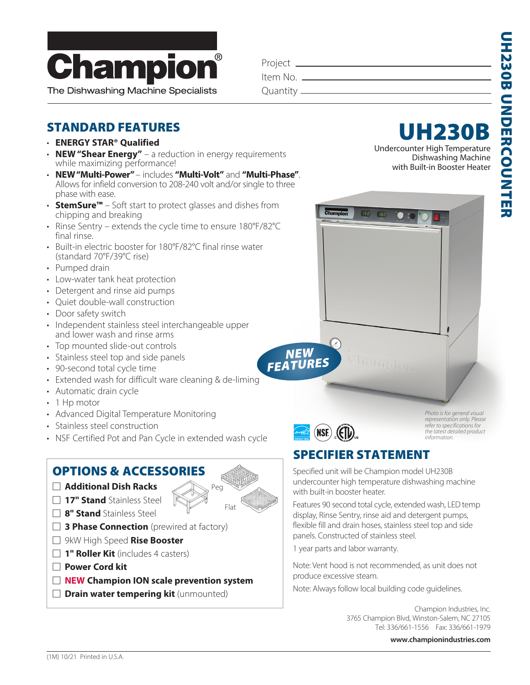

The Dishwashing Machine Specialists

| Project _    |  |
|--------------|--|
| Item No. __  |  |
| Quantity $-$ |  |

## STANDARD FEATURES

- **ENERGY STAR® Qualified**
- **NEW "Shear Energy"** a reduction in energy requirements while maximizing performance!
- **NEW "Multi-Power"**  includes **"Multi-Volt"** and **"Multi-Phase"**. Allows for infield conversion to 208-240 volt and/or single to three phase with ease.
- **StemSure™** Soft start to protect glasses and dishes from chipping and breaking
- Rinse Sentry extends the cycle time to ensure 180°F/82°C final rinse.
- Built-in electric booster for 180°F/82°C final rinse water (standard 70°F/39°C rise)
- Pumped drain
- Low-water tank heat protection
- Detergent and rinse aid pumps
- Quiet double-wall construction
- Door safety switch
- Independent stainless steel interchangeable upper and lower wash and rinse arms
- Top mounted slide-out controls
- Stainless steel top and side panels
- 90-second total cycle time
- Extended wash for difficult ware cleaning & de-liming
- Automatic drain cycle
- 1 Hp motor
- Advanced Digital Temperature Monitoring
- Stainless steel construction
- NSF Certified Pot and Pan Cycle in extended wash cycle

### OPTIONS & ACCESSORIES

- � **Additional Dish Racks**
- � **17" Stand** Stainless Steel
- **8" Stand** Stainless Steel
- **3 Phase Connection** (prewired at factory)
- � 9kW High Speed **Rise Booster**
- **1" Roller Kit** (includes 4 casters)
- � **Power Cord kit**
- □ **NEW Champion ION scale prevention system**
- $\Box$  **Drain water tempering kit** (unmounted)





Chamni

 $180$ 

**NEW**<br>FEATUR

*Photo is for general visual representation only. Please refer to specifications for the latest detailed product information.*

## SPECIFIER STATEMENT

Specified unit will be Champion model UH230B undercounter high temperature dishwashing machine with built-in booster heater.

Features 90 second total cycle, extended wash, LED temp display, Rinse Sentry, rinse aid and detergent pumps, flexible fill and drain hoses, stainless steel top and side panels. Constructed of stainless steel.

1 year parts and labor warranty.

Note: Vent hood is not recommended, as unit does not produce excessive steam.

Note: Always follow local building code guidelines.

Champion Industries, Inc. 3765 Champion Blvd, Winston-Salem, NC 27105 Tel: 336/661-1556 Fax: 336/661-1979

 **www.championindustries.com**

Flat

Peg